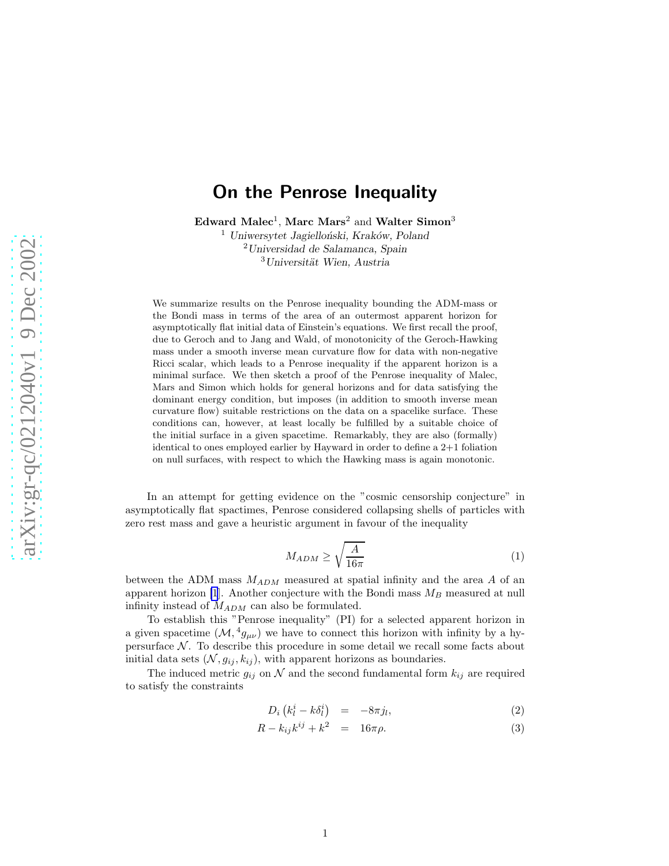# <span id="page-0-0"></span>On the Penrose Inequality

 ${\bf E}$ dward  ${\bf Malec^1, Marc\ Mars^2}$  and  ${\bf Walter\ Simon^3}$ 

 $1$  Uniwersytet Jagielloński, Kraków, Poland <sup>2</sup>Universidad de Salamanca, Spain  $3$ Universität Wien, Austria

We summarize results on the Penrose inequality bounding the ADM-mass or the Bondi mass in terms of the area of an outermost apparent horizon for asymptotically flat initial data of Einstein's equations. We first recall the proof, due to Geroch and to Jang and Wald, of monotonicity of the Geroch-Hawking mass under a smooth inverse mean curvature flow for data with non-negative Ricci scalar, which leads to a Penrose inequality if the apparent horizon is a minimal surface. We then sketch a proof of the Penrose inequality of Malec, Mars and Simon which holds for general horizons and for data satisfying the dominant energy condition, but imposes (in addition to smooth inverse mean curvature flow) suitable restrictions on the data on a spacelike surface. These conditions can, however, at least locally be fulfilled by a suitable choice of the initial surface in a given spacetime. Remarkably, they are also (formally) identical to ones employed earlier by Hayward in order to define a 2+1 foliation on null surfaces, with respect to which the Hawking mass is again monotonic.

In an attempt for getting evidence on the "cosmic censorship conjecture" in asymptotically flat spactimes, Penrose considered collapsing shells of particles with zero rest mass and gave a heuristic argument in favour of the inequality

$$
M_{ADM} \ge \sqrt{\frac{A}{16\pi}}\tag{1}
$$

between the ADM mass  $M_{ADM}$  measured at spatial infinity and the area A of an apparent horizon [\[1](#page-4-0)]. Another conjecture with the Bondi mass  $M_B$  measured at null infinity instead of  $M_{ADM}$  can also be formulated.

To establish this "Penrose inequality" (PI) for a selected apparent horizon in a given spacetime  $(M, {}^4g_{\mu\nu})$  we have to connect this horizon with infinity by a hypersurface  $\mathcal N$ . To describe this procedure in some detail we recall some facts about initial data sets  $(N, g_{ij}, k_{ij})$ , with apparent horizons as boundaries.

The induced metric  $g_{ij}$  on  $\mathcal N$  and the second fundamental form  $k_{ij}$  are required to satisfy the constraints

$$
D_i\left(k_l^i - k\delta_l^i\right) = -8\pi j_l,\tag{2}
$$

$$
R - k_{ij}k^{ij} + k^2 = 16\pi\rho.
$$
 (3)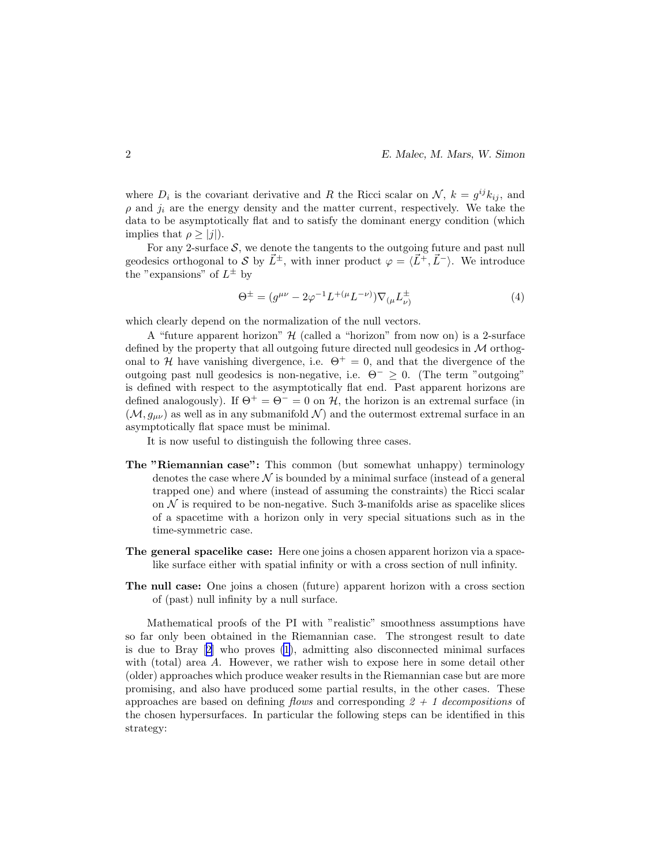<span id="page-1-0"></span>where  $D_i$  is the covariant derivative and R the Ricci scalar on  $\mathcal{N}, k = g^{ij} k_{ij}$ , and  $\rho$  and  $j_i$  are the energy density and the matter current, respectively. We take the data to be asymptotically flat and to satisfy the dominant energy condition (which implies that  $\rho \geq |j|$ ).

For any 2-surface  $S$ , we denote the tangents to the outgoing future and past null geodesics orthogonal to S by  $\vec{L}^{\pm}$ , with inner product  $\varphi = \langle \vec{L}^+, \vec{L}^- \rangle$ . We introduce the "expansions" of  $L^{\pm}$  by

$$
\Theta^{\pm} = (g^{\mu\nu} - 2\varphi^{-1}L^{+(\mu}L^{-\nu)})\nabla_{(\mu}L^{\pm}_{\nu)}
$$
(4)

which clearly depend on the normalization of the null vectors.

A "future apparent horizon"  $H$  (called a "horizon" from now on) is a 2-surface defined by the property that all outgoing future directed null geodesics in M orthogonal to H have vanishing divergence, i.e.  $\Theta^+ = 0$ , and that the divergence of the outgoing past null geodesics is non-negative, i.e.  $\Theta^- \geq 0$ . (The term "outgoing" is defined with respect to the asymptotically flat end. Past apparent horizons are defined analogously). If  $\Theta^+ = \Theta^- = 0$  on H, the horizon is an extremal surface (in  $(\mathcal{M}, g_{\mu\nu})$  as well as in any submanifold  $\mathcal{N}$ ) and the outermost extremal surface in an asymptotically flat space must be minimal.

It is now useful to distinguish the following three cases.

- The "Riemannian case": This common (but somewhat unhappy) terminology denotes the case where  $\mathcal N$  is bounded by a minimal surface (instead of a general trapped one) and where (instead of assuming the constraints) the Ricci scalar on  $\mathcal N$  is required to be non-negative. Such 3-manifolds arise as spacelike slices of a spacetime with a horizon only in very special situations such as in the time-symmetric case.
- The general spacelike case: Here one joins a chosen apparent horizon via a spacelike surface either with spatial infinity or with a cross section of null infinity.
- The null case: One joins a chosen (future) apparent horizon with a cross section of (past) null infinity by a null surface.

Mathematical proofs of the PI with "realistic" smoothness assumptions have so far only been obtained in the Riemannian case. The strongest result to date is due to Bray[[2\]](#page-4-0) who proves [\(1](#page-0-0)), admitting also disconnected minimal surfaces with (total) area A. However, we rather wish to expose here in some detail other (older) approaches which produce weaker results in the Riemannian case but are more promising, and also have produced some partial results, in the other cases. These approaches are based on defining flows and corresponding  $2 + 1$  decompositions of the chosen hypersurfaces. In particular the following steps can be identified in this strategy: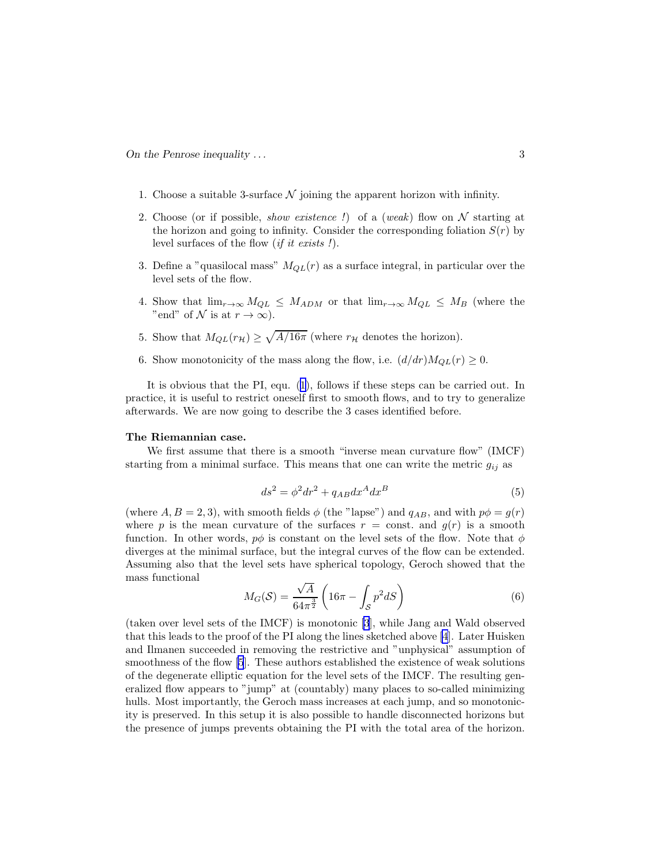- 1. Choose a suitable 3-surface  $N$  joining the apparent horizon with infinity.
- 2. Choose (or if possible, *show existence !*) of a (weak) flow on  $N$  starting at the horizon and going to infinity. Consider the corresponding foliation  $S(r)$  by level surfaces of the flow (if it exists !).
- 3. Define a "quasilocal mass"  $M_{QL}(r)$  as a surface integral, in particular over the level sets of the flow.
- 4. Show that  $\lim_{r\to\infty} M_{QL} \leq M_{ADM}$  or that  $\lim_{r\to\infty} M_{QL} \leq M_B$  (where the "end" of N is at  $r \to \infty$ ).
- 5. Show that  $M_{QL}(r_H) \ge \sqrt{A/16\pi}$  (where  $r_H$  denotes the horizon).
- 6. Show monotonicity of the mass along the flow, i.e.  $(d/dr)M_{QL}(r) \geq 0$ .

It is obvious that the PI, equ.([1\)](#page-0-0), follows if these steps can be carried out. In practice, it is useful to restrict oneself first to smooth flows, and to try to generalize afterwards. We are now going to describe the 3 cases identified before.

### The Riemannian case.

We first assume that there is a smooth "inverse mean curvature flow" (IMCF) starting from a minimal surface. This means that one can write the metric  $g_{ij}$  as

$$
ds^2 = \phi^2 dr^2 + q_{AB} dx^A dx^B \tag{5}
$$

(where  $A, B = 2, 3$ ), with smooth fields  $\phi$  (the "lapse") and  $q_{AB}$ , and with  $p\phi = g(r)$ where p is the mean curvature of the surfaces  $r = \text{const.}$  and  $g(r)$  is a smooth function. In other words,  $p\phi$  is constant on the level sets of the flow. Note that  $\phi$ diverges at the minimal surface, but the integral curves of the flow can be extended. Assuming also that the level sets have spherical topology, Geroch showed that the mass functional

$$
M_G(\mathcal{S}) = \frac{\sqrt{A}}{64\pi^{\frac{3}{2}}} \left( 16\pi - \int_{\mathcal{S}} p^2 dS \right) \tag{6}
$$

(taken over level sets of the IMCF) is monotonic [\[3](#page-4-0)], while Jang and Wald observed that this leads to the proof of the PI along the lines sketched above [\[4](#page-4-0)]. Later Huisken and Ilmanen succeeded in removing the restrictive and "unphysical" assumption of smoothness of the flow [\[5](#page-4-0)]. These authors established the existence of weak solutions of the degenerate elliptic equation for the level sets of the IMCF. The resulting generalized flow appears to "jump" at (countably) many places to so-called minimizing hulls. Most importantly, the Geroch mass increases at each jump, and so monotonicity is preserved. In this setup it is also possible to handle disconnected horizons but the presence of jumps prevents obtaining the PI with the total area of the horizon.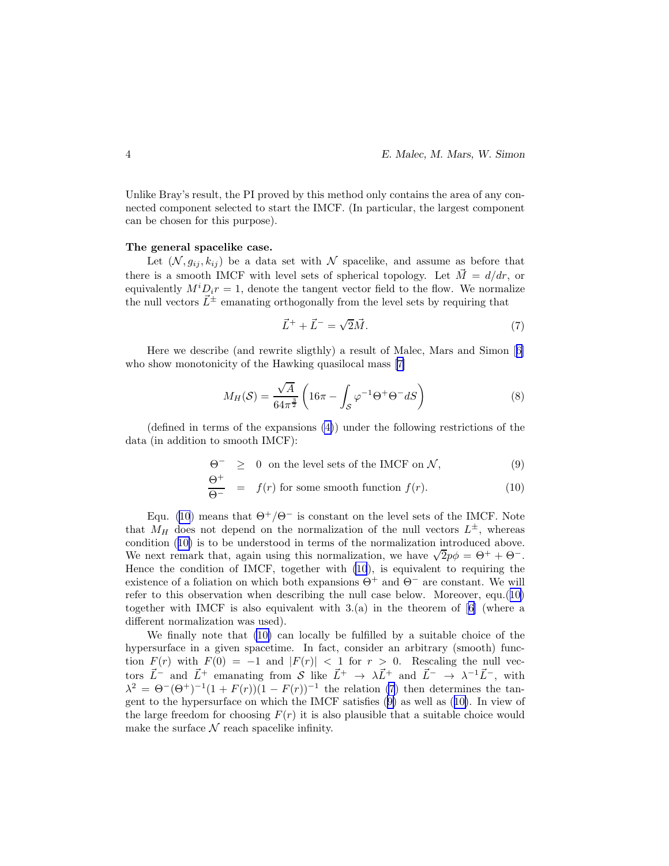<span id="page-3-0"></span>Unlike Bray's result, the PI proved by this method only contains the area of any connected component selected to start the IMCF. (In particular, the largest component can be chosen for this purpose).

#### The general spacelike case.

Let  $(N, g_{ij}, k_{ij})$  be a data set with N spacelike, and assume as before that there is a smooth IMCF with level sets of spherical topology. Let  $\vec{M} = d/dr$ , or equivalently  $M^{i}D_{i}r = 1$ , denote the tangent vector field to the flow. We normalize the null vectors  $\vec{L}^{\pm}$  emanating orthogonally from the level sets by requiring that

$$
\vec{L}^{+} + \vec{L}^{-} = \sqrt{2}\vec{M}.
$$
\n(7)

Here we describe (and rewrite sligthly) a result of Malec, Mars and Simon[[6\]](#page-4-0) whoshow monotonicity of the Hawking quasilocal mass [[7\]](#page-4-0)

$$
M_H(\mathcal{S}) = \frac{\sqrt{A}}{64\pi^{\frac{3}{2}}} \left( 16\pi - \int_{\mathcal{S}} \varphi^{-1} \Theta^+ \Theta^- dS \right) \tag{8}
$$

(defined in terms of the expansions [\(4\)](#page-1-0)) under the following restrictions of the data (in addition to smooth IMCF):

$$
\Theta^- \geq 0 \text{ on the level sets of the IMCF on } \mathcal{N}, \tag{9}
$$

$$
\frac{\Theta^+}{\Theta^-} = f(r) \text{ for some smooth function } f(r). \tag{10}
$$

Equ. (10) means that  $\Theta^+/\Theta^-$  is constant on the level sets of the IMCF. Note that  $M_H$  does not depend on the normalization of the null vectors  $L^{\pm}$ , whereas condition (10) is to be understood in terms of the normalization introduced above. We next remark that, again using this normalization, we have  $\sqrt{2}p\phi = \Theta^+ + \Theta^-$ . Hence the condition of IMCF, together with (10), is equivalent to requiring the existence of a foliation on which both expansions  $\Theta^+$  and  $\Theta^-$  are constant. We will refer to this observation when describing the null case below. Moreover, equ.(10) togetherwith IMCF is also equivalent with  $3.(a)$  in the theorem of [[6\]](#page-4-0) (where a different normalization was used).

We finally note that (10) can locally be fulfilled by a suitable choice of the hypersurface in a given spacetime. In fact, consider an arbitrary (smooth) function  $F(r)$  with  $F(0) = -1$  and  $|F(r)| < 1$  for  $r > 0$ . Rescaling the null vectors  $\vec{L}^-$  and  $\vec{L}^+$  emanating from  $\mathcal{S}$  like  $\vec{L}^+$   $\rightarrow \lambda \vec{L}^+$  and  $\vec{L}^ \rightarrow \lambda^{-1} \vec{L}^-$ , with  $\lambda^2 = \Theta^-(\Theta^+)^{-1}(1+F(r))(1-F(r))^{-1}$  the relation (7) then determines the tangent to the hypersurface on which the IMCF satisfies (9) as well as (10). In view of the large freedom for choosing  $F(r)$  it is also plausible that a suitable choice would make the surface  $N$  reach spacelike infinity.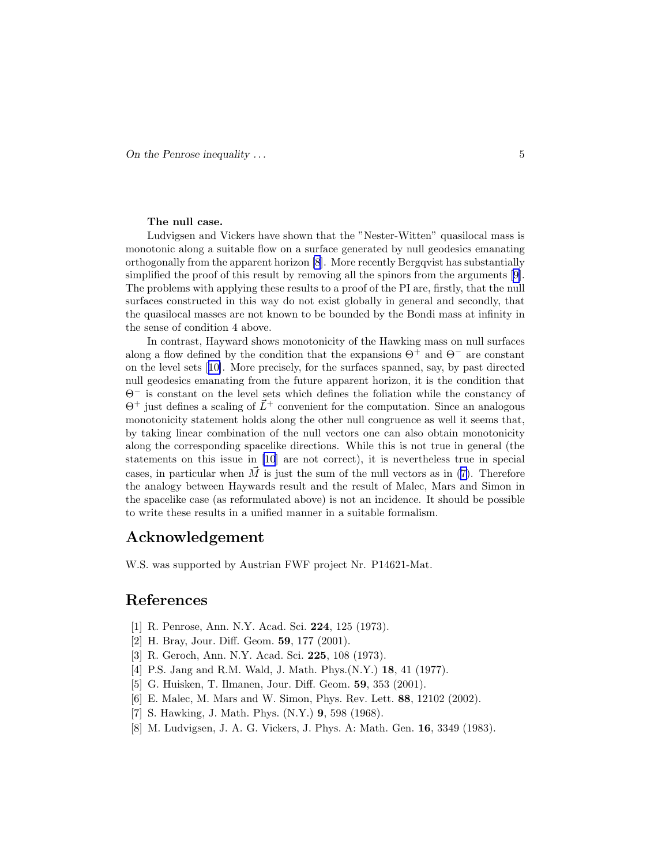### <span id="page-4-0"></span>The null case.

Ludvigsen and Vickers have shown that the "Nester-Witten" quasilocal mass is monotonic along a suitable flow on a surface generated by null geodesics emanating orthogonally from the apparent horizon [8]. More recently Bergqvist has substantially simplifiedthe proof of this result by removing all the spinors from the arguments [[9\]](#page-5-0). The problems with applying these results to a proof of the PI are, firstly, that the null surfaces constructed in this way do not exist globally in general and secondly, that the quasilocal masses are not known to be bounded by the Bondi mass at infinity in the sense of condition 4 above.

In contrast, Hayward shows monotonicity of the Hawking mass on null surfaces along a flow defined by the condition that the expansions  $\Theta^+$  and  $\Theta^-$  are constant on the level sets[[10\]](#page-5-0). More precisely, for the surfaces spanned, say, by past directed null geodesics emanating from the future apparent horizon, it is the condition that Θ<sup>−</sup> is constant on the level sets which defines the foliation while the constancy of  $\Theta^+$  just defines a scaling of  $\vec{L}^+$  convenient for the computation. Since an analogous monotonicity statement holds along the other null congruence as well it seems that, by taking linear combination of the null vectors one can also obtain monotonicity along the corresponding spacelike directions. While this is not true in general (the statements on this issue in [\[10](#page-5-0)] are not correct), it is nevertheless true in special cases,in particular when  $\tilde{M}$  is just the sum of the null vectors as in ([7\)](#page-3-0). Therefore the analogy between Haywards result and the result of Malec, Mars and Simon in the spacelike case (as reformulated above) is not an incidence. It should be possible to write these results in a unified manner in a suitable formalism.

## Acknowledgement

W.S. was supported by Austrian FWF project Nr. P14621-Mat.

# References

- [1] R. Penrose, Ann. N.Y. Acad. Sci. 224, 125 (1973).
- [2] H. Bray, Jour. Diff. Geom. **59**, 177 (2001).
- [3] R. Geroch, Ann. N.Y. Acad. Sci. 225, 108 (1973).
- [4] P.S. Jang and R.M. Wald, J. Math. Phys.(N.Y.) 18, 41 (1977).
- [5] G. Huisken, T. Ilmanen, Jour. Diff. Geom. 59, 353 (2001).
- [6] E. Malec, M. Mars and W. Simon, Phys. Rev. Lett. 88, 12102 (2002).
- [7] S. Hawking, J. Math. Phys. (N.Y.) 9, 598 (1968).
- [8] M. Ludvigsen, J. A. G. Vickers, J. Phys. A: Math. Gen. 16, 3349 (1983).